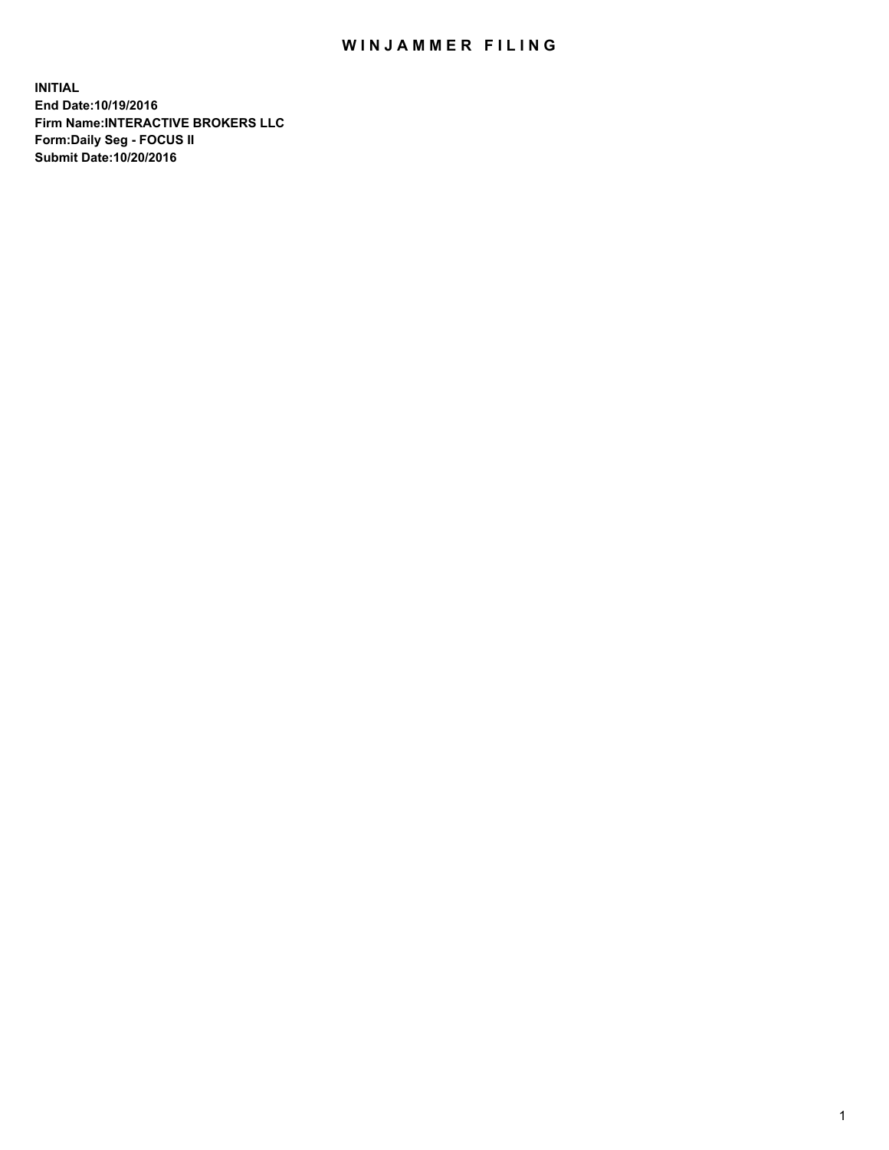## WIN JAMMER FILING

**INITIAL End Date:10/19/2016 Firm Name:INTERACTIVE BROKERS LLC Form:Daily Seg - FOCUS II Submit Date:10/20/2016**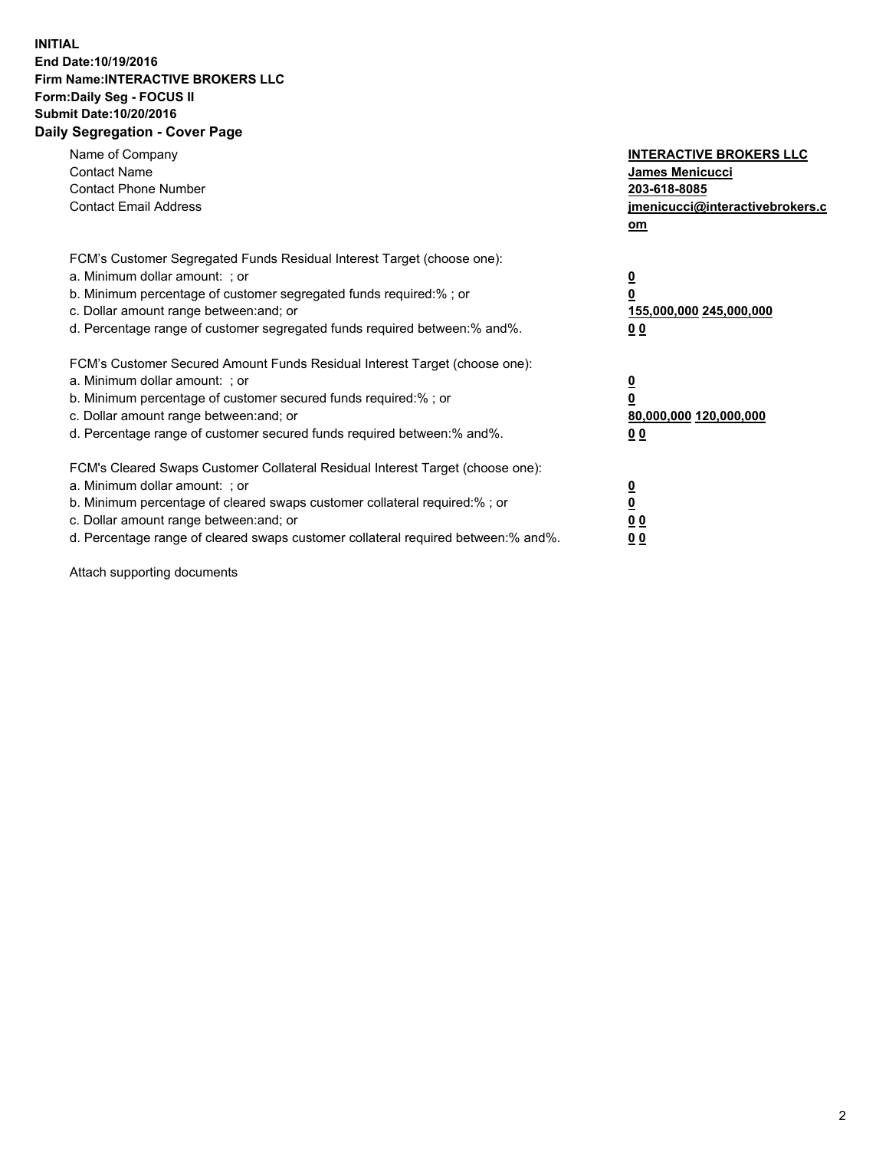## **INITIAL End Date:10/19/2016 Firm Name:INTERACTIVE BROKERS LLC Form:Daily Seg - FOCUS II Submit Date:10/20/2016 Daily Segregation - Cover Page**

| Name of Company<br><b>Contact Name</b><br><b>Contact Phone Number</b><br><b>Contact Email Address</b>                                                                                                                                                                                                                          | <b>INTERACTIVE BROKERS LLC</b><br>James Menicucci<br>203-618-8085<br><u>jmenicucci@interactivebrokers.c</u><br>om |
|--------------------------------------------------------------------------------------------------------------------------------------------------------------------------------------------------------------------------------------------------------------------------------------------------------------------------------|-------------------------------------------------------------------------------------------------------------------|
| FCM's Customer Segregated Funds Residual Interest Target (choose one):<br>a. Minimum dollar amount: ; or<br>b. Minimum percentage of customer segregated funds required:%; or<br>c. Dollar amount range between: and; or<br>d. Percentage range of customer segregated funds required between:% and%.                          | $\overline{\mathbf{0}}$<br>0<br>155,000,000 245,000,000<br>0 <sub>0</sub>                                         |
| FCM's Customer Secured Amount Funds Residual Interest Target (choose one):<br>a. Minimum dollar amount: ; or<br>b. Minimum percentage of customer secured funds required:%; or<br>c. Dollar amount range between: and; or<br>d. Percentage range of customer secured funds required between:% and%.                            | $\overline{\mathbf{0}}$<br>$\overline{\mathbf{0}}$<br>80,000,000 120,000,000<br>00                                |
| FCM's Cleared Swaps Customer Collateral Residual Interest Target (choose one):<br>a. Minimum dollar amount: ; or<br>b. Minimum percentage of cleared swaps customer collateral required:% ; or<br>c. Dollar amount range between: and; or<br>d. Percentage range of cleared swaps customer collateral required between:% and%. | $\overline{\mathbf{0}}$<br>$\overline{\mathbf{0}}$<br>0 <sub>0</sub><br><u>00</u>                                 |

Attach supporting documents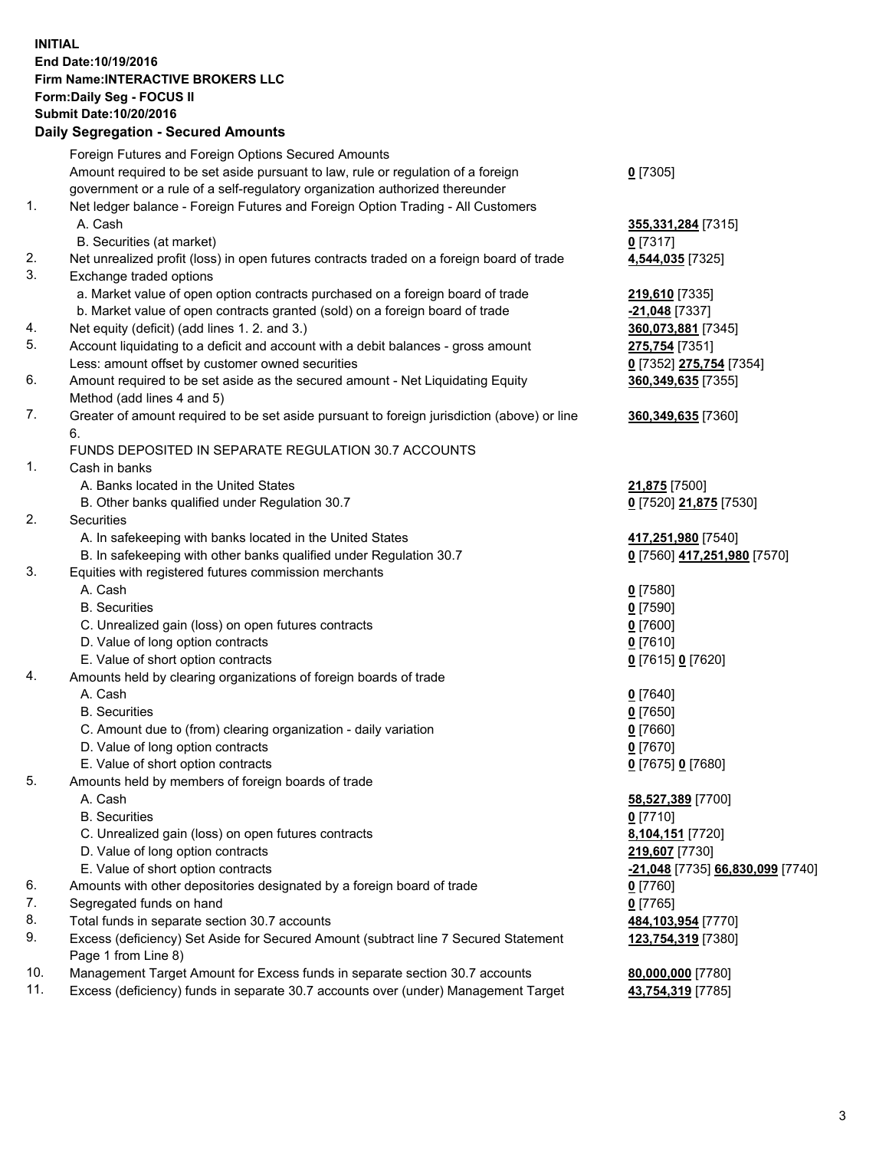## **INITIAL End Date:10/19/2016 Firm Name:INTERACTIVE BROKERS LLC Form:Daily Seg - FOCUS II Submit Date:10/20/2016 Daily Segregation - Secured Amounts**

|     | Foreign Futures and Foreign Options Secured Amounts                                                        |                                  |
|-----|------------------------------------------------------------------------------------------------------------|----------------------------------|
|     | Amount required to be set aside pursuant to law, rule or regulation of a foreign                           | $0$ [7305]                       |
|     | government or a rule of a self-regulatory organization authorized thereunder                               |                                  |
| 1.  | Net ledger balance - Foreign Futures and Foreign Option Trading - All Customers                            |                                  |
|     | A. Cash                                                                                                    | 355,331,284 [7315]               |
|     | B. Securities (at market)                                                                                  | 0 [7317]                         |
| 2.  | Net unrealized profit (loss) in open futures contracts traded on a foreign board of trade                  | 4,544,035 [7325]                 |
| 3.  | Exchange traded options                                                                                    |                                  |
|     | a. Market value of open option contracts purchased on a foreign board of trade                             | 219,610 [7335]                   |
|     | b. Market value of open contracts granted (sold) on a foreign board of trade                               | -21,048 [7337]                   |
| 4.  | Net equity (deficit) (add lines 1. 2. and 3.)                                                              | 360,073,881 [7345]               |
| 5.  | Account liquidating to a deficit and account with a debit balances - gross amount                          | 275,754 [7351]                   |
|     | Less: amount offset by customer owned securities                                                           | 0 [7352] 275,754 [7354]          |
| 6.  | Amount required to be set aside as the secured amount - Net Liquidating Equity                             | 360, 349, 635 [7355]             |
|     | Method (add lines 4 and 5)                                                                                 |                                  |
| 7.  | Greater of amount required to be set aside pursuant to foreign jurisdiction (above) or line                | 360, 349, 635 [7360]             |
|     | 6.                                                                                                         |                                  |
|     | FUNDS DEPOSITED IN SEPARATE REGULATION 30.7 ACCOUNTS                                                       |                                  |
| 1.  | Cash in banks                                                                                              |                                  |
|     | A. Banks located in the United States                                                                      | <b>21,875</b> [7500]             |
|     | B. Other banks qualified under Regulation 30.7                                                             | 0 [7520] 21,875 [7530]           |
| 2.  | Securities                                                                                                 |                                  |
|     | A. In safekeeping with banks located in the United States                                                  | 417,251,980 [7540]               |
|     | B. In safekeeping with other banks qualified under Regulation 30.7                                         | 0 [7560] 417,251,980 [7570]      |
| 3.  | Equities with registered futures commission merchants                                                      |                                  |
|     | A. Cash                                                                                                    | $0$ [7580]                       |
|     | <b>B.</b> Securities                                                                                       | $0$ [7590]                       |
|     | C. Unrealized gain (loss) on open futures contracts                                                        | $0$ [7600]                       |
|     | D. Value of long option contracts                                                                          | $0$ [7610]                       |
|     | E. Value of short option contracts                                                                         | 0 [7615] 0 [7620]                |
| 4.  | Amounts held by clearing organizations of foreign boards of trade                                          |                                  |
|     | A. Cash                                                                                                    | $0$ [7640]                       |
|     | <b>B.</b> Securities                                                                                       | $0$ [7650]                       |
|     | C. Amount due to (from) clearing organization - daily variation                                            | $0$ [7660]                       |
|     | D. Value of long option contracts                                                                          | $0$ [7670]                       |
|     | E. Value of short option contracts                                                                         | 0 [7675] 0 [7680]                |
| 5.  | Amounts held by members of foreign boards of trade                                                         |                                  |
|     | A. Cash                                                                                                    | 58,527,389 [7700]                |
|     | <b>B.</b> Securities                                                                                       | $0$ [7710]                       |
|     | C. Unrealized gain (loss) on open futures contracts                                                        | 8,104,151 [7720]                 |
|     | D. Value of long option contracts                                                                          | 219,607 [7730]                   |
|     | E. Value of short option contracts                                                                         | -21,048 [7735] 66,830,099 [7740] |
| 6.  | Amounts with other depositories designated by a foreign board of trade                                     | $0$ [7760]                       |
| 7.  | Segregated funds on hand                                                                                   | $0$ [7765]                       |
| 8.  | Total funds in separate section 30.7 accounts                                                              | 484,103,954 [7770]               |
| 9.  | Excess (deficiency) Set Aside for Secured Amount (subtract line 7 Secured Statement<br>Page 1 from Line 8) | 123,754,319 [7380]               |
| 10. | Management Target Amount for Excess funds in separate section 30.7 accounts                                | 80,000,000 [7780]                |
| 11. | Excess (deficiency) funds in separate 30.7 accounts over (under) Management Target                         | 43,754,319 [7785]                |
|     |                                                                                                            |                                  |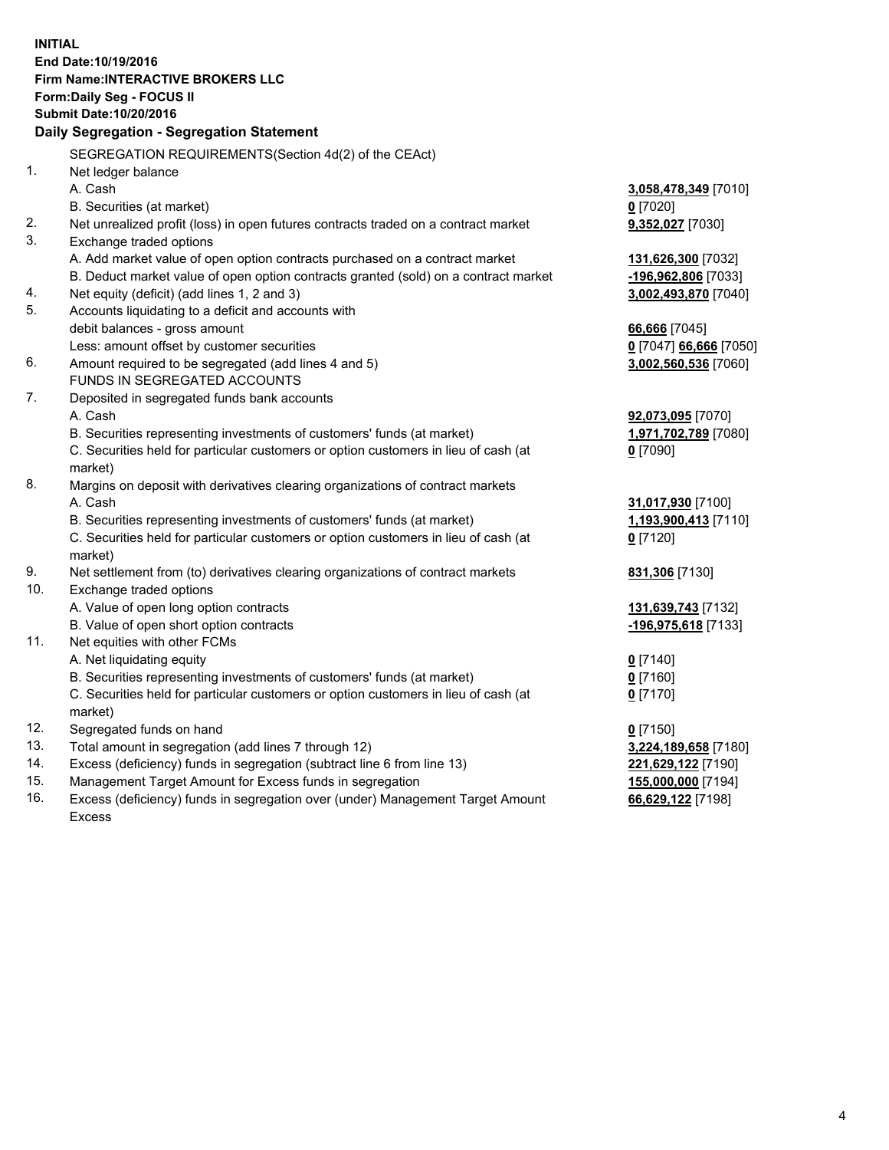**INITIAL End Date:10/19/2016 Firm Name:INTERACTIVE BROKERS LLC Form:Daily Seg - FOCUS II Submit Date:10/20/2016 Daily Segregation - Segregation Statement** SEGREGATION REQUIREMENTS(Section 4d(2) of the CEAct) 1. Net ledger balance A. Cash **3,058,478,349** [7010] B. Securities (at market) **0** [7020] 2. Net unrealized profit (loss) in open futures contracts traded on a contract market **9,352,027** [7030] 3. Exchange traded options A. Add market value of open option contracts purchased on a contract market **131,626,300** [7032] B. Deduct market value of open option contracts granted (sold) on a contract market **-196,962,806** [7033] 4. Net equity (deficit) (add lines 1, 2 and 3) **3,002,493,870** [7040] 5. Accounts liquidating to a deficit and accounts with debit balances - gross amount **66,666** [7045] Less: amount offset by customer securities **0** [7047] **66,666** [7050] 6. Amount required to be segregated (add lines 4 and 5) **3,002,560,536** [7060] FUNDS IN SEGREGATED ACCOUNTS 7. Deposited in segregated funds bank accounts A. Cash **92,073,095** [7070] B. Securities representing investments of customers' funds (at market) **1,971,702,789** [7080] C. Securities held for particular customers or option customers in lieu of cash (at market) **0** [7090] 8. Margins on deposit with derivatives clearing organizations of contract markets A. Cash **31,017,930** [7100] B. Securities representing investments of customers' funds (at market) **1,193,900,413** [7110] C. Securities held for particular customers or option customers in lieu of cash (at market) **0** [7120] 9. Net settlement from (to) derivatives clearing organizations of contract markets **831,306** [7130] 10. Exchange traded options A. Value of open long option contracts **131,639,743** [7132] B. Value of open short option contracts **-196,975,618** [7133] 11. Net equities with other FCMs A. Net liquidating equity **0** [7140] B. Securities representing investments of customers' funds (at market) **0** [7160] C. Securities held for particular customers or option customers in lieu of cash (at market) **0** [7170] 12. Segregated funds on hand **0** [7150] 13. Total amount in segregation (add lines 7 through 12) **3,224,189,658** [7180] 14. Excess (deficiency) funds in segregation (subtract line 6 from line 13) **221,629,122** [7190] 15. Management Target Amount for Excess funds in segregation **155,000,000** [7194] 16. Excess (deficiency) funds in segregation over (under) Management Target Amount **66,629,122** [7198]

Excess